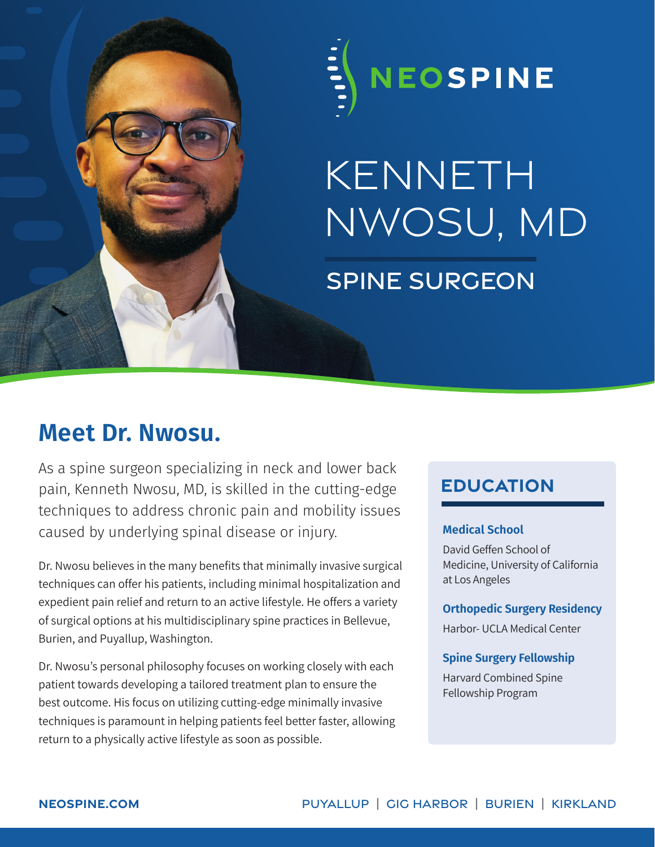

# kenneth nwosu, md spine surgeon

## **Meet Dr. Nwosu.**

As a spine surgeon specializing in neck and lower back pain, Kenneth Nwosu, MD, is skilled in the cutting-edge techniques to address chronic pain and mobility issues caused by underlying spinal disease or injury.

Dr. Nwosu believes in the many benefits that minimally invasive surgical techniques can offer his patients, including minimal hospitalization and expedient pain relief and return to an active lifestyle. He offers a variety of surgical options at his multidisciplinary spine practices in Bellevue, Burien, and Puyallup, Washington.

Dr. Nwosu's personal philosophy focuses on working closely with each patient towards developing a tailored treatment plan to ensure the best outcome. His focus on utilizing cutting-edge minimally invasive techniques is paramount in helping patients feel better faster, allowing return to a physically active lifestyle as soon as possible.

### **education**

### **Medical School**

David Geffen School of Medicine, University of California at Los Angeles

#### **Orthopedic Surgery Residency**

Harbor- UCLA Medical Center

### **Spine Surgery Fellowship**

Harvard Combined Spine Fellowship Program